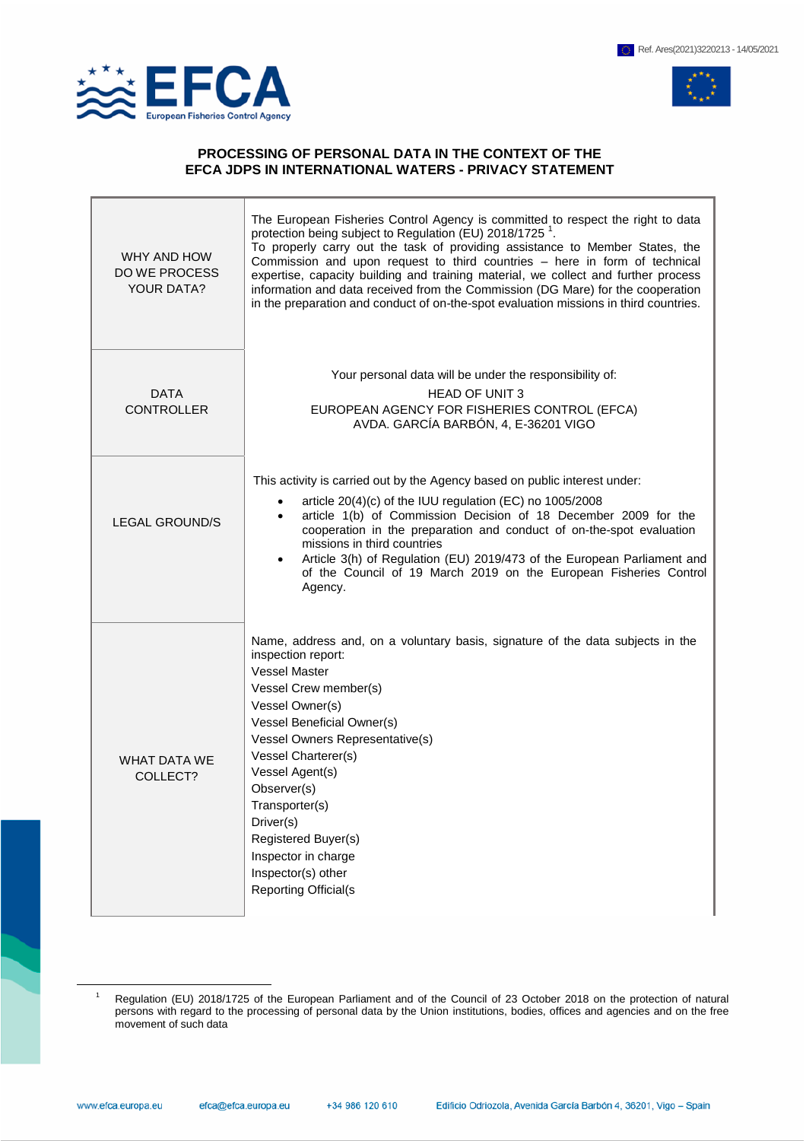

 $\overline{a}$ 



## **PROCESSING OF PERSONAL DATA IN THE CONTEXT OF THE EFCA JDPS IN INTERNATIONAL WATERS - PRIVACY STATEMENT**

| WHY AND HOW<br><b>DO WE PROCESS</b><br><b>YOUR DATA?</b> | The European Fisheries Control Agency is committed to respect the right to data<br>protection being subject to Regulation (EU) 2018/1725 <sup>1</sup> .<br>To properly carry out the task of providing assistance to Member States, the<br>Commission and upon request to third countries - here in form of technical<br>expertise, capacity building and training material, we collect and further process<br>information and data received from the Commission (DG Mare) for the cooperation<br>in the preparation and conduct of on-the-spot evaluation missions in third countries. |
|----------------------------------------------------------|-----------------------------------------------------------------------------------------------------------------------------------------------------------------------------------------------------------------------------------------------------------------------------------------------------------------------------------------------------------------------------------------------------------------------------------------------------------------------------------------------------------------------------------------------------------------------------------------|
| <b>DATA</b><br><b>CONTROLLER</b>                         | Your personal data will be under the responsibility of:<br><b>HEAD OF UNIT 3</b><br>EUROPEAN AGENCY FOR FISHERIES CONTROL (EFCA)<br>AVDA. GARCÍA BARBÓN, 4, E-36201 VIGO                                                                                                                                                                                                                                                                                                                                                                                                                |
| <b>LEGAL GROUND/S</b>                                    | This activity is carried out by the Agency based on public interest under:<br>article 20(4)(c) of the IUU regulation (EC) no 1005/2008<br>$\bullet$<br>article 1(b) of Commission Decision of 18 December 2009 for the<br>$\bullet$<br>cooperation in the preparation and conduct of on-the-spot evaluation<br>missions in third countries<br>Article 3(h) of Regulation (EU) 2019/473 of the European Parliament and<br>$\bullet$<br>of the Council of 19 March 2019 on the European Fisheries Control<br>Agency.                                                                      |
| <b>WHAT DATA WE</b><br>COLLECT?                          | Name, address and, on a voluntary basis, signature of the data subjects in the<br>inspection report:<br><b>Vessel Master</b><br>Vessel Crew member(s)<br>Vessel Owner(s)<br>Vessel Beneficial Owner(s)<br>Vessel Owners Representative(s)<br>Vessel Charterer(s)<br>Vessel Agent(s)<br>Observer(s)<br>Transporter(s)<br>Driver(s)<br>Registered Buyer(s)<br>Inspector in charge<br>Inspector(s) other<br><b>Reporting Official(s</b>                                                                                                                                                    |

Regulation (EU) 2018/1725 of the European Parliament and of the Council of 23 October 2018 on the protection of natural persons with regard to the processing of personal data by the Union institutions, bodies, offices and agencies and on the free movement of such data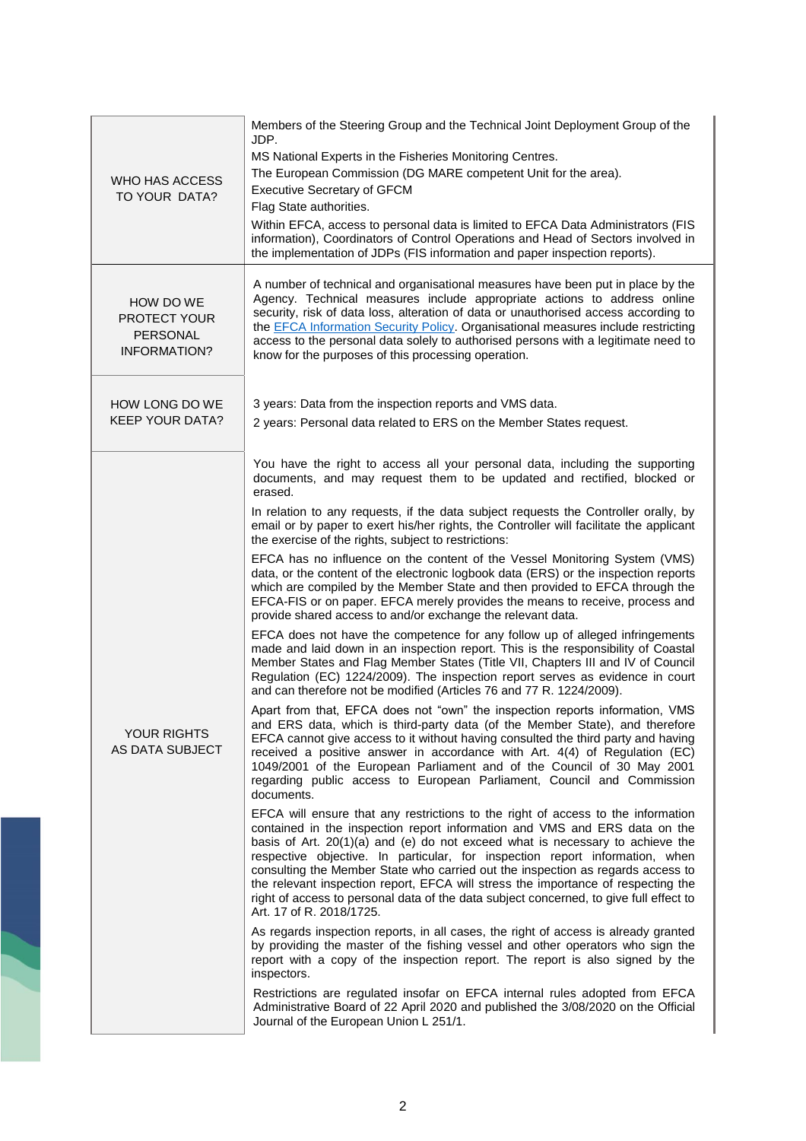| WHO HAS ACCESS<br>TO YOUR DATA?                       | Members of the Steering Group and the Technical Joint Deployment Group of the<br>JDP.<br>MS National Experts in the Fisheries Monitoring Centres.<br>The European Commission (DG MARE competent Unit for the area).<br><b>Executive Secretary of GFCM</b><br>Flag State authorities.<br>Within EFCA, access to personal data is limited to EFCA Data Administrators (FIS<br>information), Coordinators of Control Operations and Head of Sectors involved in<br>the implementation of JDPs (FIS information and paper inspection reports).                                                                                                                                                                                                                                                                                                                                                                                                                                                                                                                                                                                                                                                                                                                                                                                                                                                                                                                                                                                                                                                                                                                                                                                                                                                                                                                                                                                                                                                                                                                                                                                                                                                                                                                                                                                                                                                                                                                                                                                                                                                                                         |
|-------------------------------------------------------|------------------------------------------------------------------------------------------------------------------------------------------------------------------------------------------------------------------------------------------------------------------------------------------------------------------------------------------------------------------------------------------------------------------------------------------------------------------------------------------------------------------------------------------------------------------------------------------------------------------------------------------------------------------------------------------------------------------------------------------------------------------------------------------------------------------------------------------------------------------------------------------------------------------------------------------------------------------------------------------------------------------------------------------------------------------------------------------------------------------------------------------------------------------------------------------------------------------------------------------------------------------------------------------------------------------------------------------------------------------------------------------------------------------------------------------------------------------------------------------------------------------------------------------------------------------------------------------------------------------------------------------------------------------------------------------------------------------------------------------------------------------------------------------------------------------------------------------------------------------------------------------------------------------------------------------------------------------------------------------------------------------------------------------------------------------------------------------------------------------------------------------------------------------------------------------------------------------------------------------------------------------------------------------------------------------------------------------------------------------------------------------------------------------------------------------------------------------------------------------------------------------------------------------------------------------------------------------------------------------------------------|
| HOW DO WE<br>PROTECT YOUR<br>PERSONAL<br>INFORMATION? | A number of technical and organisational measures have been put in place by the<br>Agency. Technical measures include appropriate actions to address online<br>security, risk of data loss, alteration of data or unauthorised access according to<br>the EFCA Information Security Policy. Organisational measures include restricting<br>access to the personal data solely to authorised persons with a legitimate need to<br>know for the purposes of this processing operation.                                                                                                                                                                                                                                                                                                                                                                                                                                                                                                                                                                                                                                                                                                                                                                                                                                                                                                                                                                                                                                                                                                                                                                                                                                                                                                                                                                                                                                                                                                                                                                                                                                                                                                                                                                                                                                                                                                                                                                                                                                                                                                                                               |
| HOW LONG DO WE<br><b>KEEP YOUR DATA?</b>              | 3 years: Data from the inspection reports and VMS data.<br>2 years: Personal data related to ERS on the Member States request.                                                                                                                                                                                                                                                                                                                                                                                                                                                                                                                                                                                                                                                                                                                                                                                                                                                                                                                                                                                                                                                                                                                                                                                                                                                                                                                                                                                                                                                                                                                                                                                                                                                                                                                                                                                                                                                                                                                                                                                                                                                                                                                                                                                                                                                                                                                                                                                                                                                                                                     |
| <b>YOUR RIGHTS</b><br>AS DATA SUBJECT                 | You have the right to access all your personal data, including the supporting<br>documents, and may request them to be updated and rectified, blocked or<br>erased.<br>In relation to any requests, if the data subject requests the Controller orally, by<br>email or by paper to exert his/her rights, the Controller will facilitate the applicant<br>the exercise of the rights, subject to restrictions:<br>EFCA has no influence on the content of the Vessel Monitoring System (VMS)<br>data, or the content of the electronic logbook data (ERS) or the inspection reports<br>which are compiled by the Member State and then provided to EFCA through the<br>EFCA-FIS or on paper. EFCA merely provides the means to receive, process and<br>provide shared access to and/or exchange the relevant data.<br>EFCA does not have the competence for any follow up of alleged infringements<br>made and laid down in an inspection report. This is the responsibility of Coastal<br>Member States and Flag Member States (Title VII, Chapters III and IV of Council<br>Regulation (EC) 1224/2009). The inspection report serves as evidence in court<br>and can therefore not be modified (Articles 76 and 77 R. 1224/2009).<br>Apart from that, EFCA does not "own" the inspection reports information, VMS<br>and ERS data, which is third-party data (of the Member State), and therefore<br>EFCA cannot give access to it without having consulted the third party and having<br>received a positive answer in accordance with Art. 4(4) of Regulation (EC)<br>1049/2001 of the European Parliament and of the Council of 30 May 2001<br>regarding public access to European Parliament, Council and Commission<br>documents.<br>EFCA will ensure that any restrictions to the right of access to the information<br>contained in the inspection report information and VMS and ERS data on the<br>basis of Art. 20(1)(a) and (e) do not exceed what is necessary to achieve the<br>respective objective. In particular, for inspection report information, when<br>consulting the Member State who carried out the inspection as regards access to<br>the relevant inspection report, EFCA will stress the importance of respecting the<br>right of access to personal data of the data subject concerned, to give full effect to<br>Art. 17 of R. 2018/1725.<br>As regards inspection reports, in all cases, the right of access is already granted<br>by providing the master of the fishing vessel and other operators who sign the<br>report with a copy of the inspection report. The report is also signed by the |
|                                                       | inspectors.<br>Restrictions are regulated insofar on EFCA internal rules adopted from EFCA<br>Administrative Board of 22 April 2020 and published the 3/08/2020 on the Official<br>Journal of the European Union L 251/1.                                                                                                                                                                                                                                                                                                                                                                                                                                                                                                                                                                                                                                                                                                                                                                                                                                                                                                                                                                                                                                                                                                                                                                                                                                                                                                                                                                                                                                                                                                                                                                                                                                                                                                                                                                                                                                                                                                                                                                                                                                                                                                                                                                                                                                                                                                                                                                                                          |